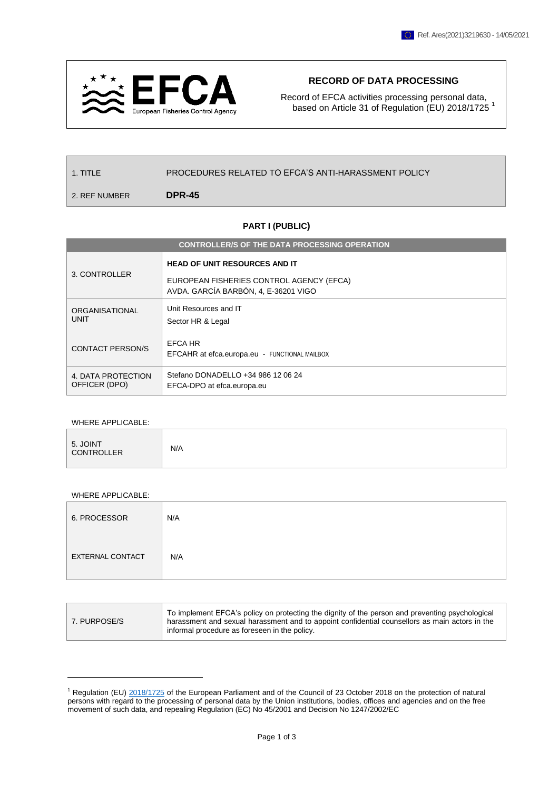

## **RECORD OF DATA PROCESSING**

Record of EFCA activities processing personal data, based on Article 31 of Regulation (EU) 2018/1725<sup>1</sup>

1. TITLE PROCEDURES RELATED TO EFCA'S ANTI-HARASSMENT POLICY

2. REF NUMBER **DPR-45**

## **PART I (PUBLIC)**

| <b>CONTROLLER/S OF THE DATA PROCESSING OPERATION</b> |                                                                                                                          |  |
|------------------------------------------------------|--------------------------------------------------------------------------------------------------------------------------|--|
| 3. CONTROLLER                                        | <b>HEAD OF UNIT RESOURCES AND IT</b><br>EUROPEAN FISHERIES CONTROL AGENCY (EFCA)<br>AVDA. GARCÍA BARBÓN, 4, E-36201 VIGO |  |
| <b>ORGANISATIONAL</b><br><b>UNIT</b>                 | Unit Resources and IT<br>Sector HR & Legal                                                                               |  |
| <b>CONTACT PERSON/S</b>                              | EFCA HR<br>EFCAHR at efca.europa.eu - FUNCTIONAL MAILBOX                                                                 |  |
| 4. DATA PROTECTION<br>OFFICER (DPO)                  | Stefano DONADELLO +34 986 12 06 24<br>EFCA-DPO at efca.europa.eu                                                         |  |

## WHERE APPLICABLE:

| N/A | 5. JOINT<br>CONTROLLER |  |
|-----|------------------------|--|
|-----|------------------------|--|

## WHERE APPLICABLE:

 $\overline{a}$ 

| 6. PROCESSOR            | N/A |
|-------------------------|-----|
| <b>EXTERNAL CONTACT</b> | N/A |

| 7. PURPOSE/S | To implement EFCA's policy on protecting the dignity of the person and preventing psychological<br>harassment and sexual harassment and to appoint confidential counsellors as main actors in the<br>informal procedure as foreseen in the policy. |
|--------------|----------------------------------------------------------------------------------------------------------------------------------------------------------------------------------------------------------------------------------------------------|
|--------------|----------------------------------------------------------------------------------------------------------------------------------------------------------------------------------------------------------------------------------------------------|

 $1$  Regulation (EU)  $2018/1725$  of the European Parliament and of the Council of 23 October 2018 on the protection of natural persons with regard to the processing of personal data by the Union institutions, bodies, offices and agencies and on the free movement of such data, and repealing Regulation (EC) No 45/2001 and Decision No 1247/2002/EC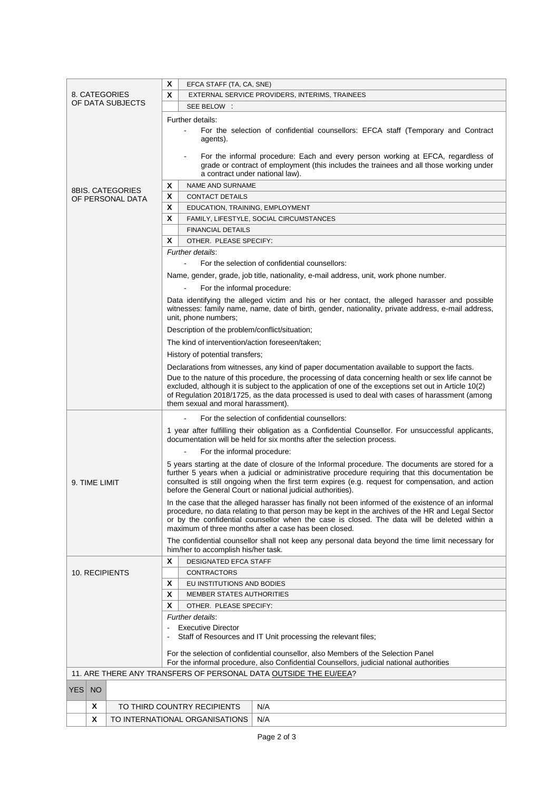| X                                                                                                                                                                                                                                                                                                                                           |               | EFCA STAFF (TA, CA, SNE)                                                                            |                                                                                                                                                                                                   |                                                |                                                                                                                                                                                                     |
|---------------------------------------------------------------------------------------------------------------------------------------------------------------------------------------------------------------------------------------------------------------------------------------------------------------------------------------------|---------------|-----------------------------------------------------------------------------------------------------|---------------------------------------------------------------------------------------------------------------------------------------------------------------------------------------------------|------------------------------------------------|-----------------------------------------------------------------------------------------------------------------------------------------------------------------------------------------------------|
|                                                                                                                                                                                                                                                                                                                                             |               | 8. CATEGORIES                                                                                       |                                                                                                                                                                                                   |                                                | EXTERNAL SERVICE PROVIDERS, INTERIMS, TRAINEES                                                                                                                                                      |
| OF DATA SUBJECTS                                                                                                                                                                                                                                                                                                                            |               | X                                                                                                   | SEE BELOW :                                                                                                                                                                                       |                                                |                                                                                                                                                                                                     |
|                                                                                                                                                                                                                                                                                                                                             |               |                                                                                                     |                                                                                                                                                                                                   |                                                |                                                                                                                                                                                                     |
|                                                                                                                                                                                                                                                                                                                                             |               |                                                                                                     |                                                                                                                                                                                                   | Further details:                               |                                                                                                                                                                                                     |
|                                                                                                                                                                                                                                                                                                                                             |               |                                                                                                     |                                                                                                                                                                                                   | agents).                                       | For the selection of confidential counsellors: EFCA staff (Temporary and Contract                                                                                                                   |
|                                                                                                                                                                                                                                                                                                                                             |               |                                                                                                     |                                                                                                                                                                                                   |                                                |                                                                                                                                                                                                     |
|                                                                                                                                                                                                                                                                                                                                             |               |                                                                                                     |                                                                                                                                                                                                   |                                                | For the informal procedure: Each and every person working at EFCA, regardless of                                                                                                                    |
|                                                                                                                                                                                                                                                                                                                                             |               |                                                                                                     |                                                                                                                                                                                                   |                                                | grade or contract of employment (this includes the trainees and all those working under                                                                                                             |
|                                                                                                                                                                                                                                                                                                                                             |               |                                                                                                     |                                                                                                                                                                                                   | a contract under national law).                |                                                                                                                                                                                                     |
|                                                                                                                                                                                                                                                                                                                                             |               | 8BIS. CATEGORIES                                                                                    | Χ                                                                                                                                                                                                 | <b>NAME AND SURNAME</b>                        |                                                                                                                                                                                                     |
|                                                                                                                                                                                                                                                                                                                                             |               | OF PERSONAL DATA                                                                                    | X                                                                                                                                                                                                 | <b>CONTACT DETAILS</b>                         |                                                                                                                                                                                                     |
|                                                                                                                                                                                                                                                                                                                                             |               |                                                                                                     | X                                                                                                                                                                                                 | EDUCATION, TRAINING, EMPLOYMENT                |                                                                                                                                                                                                     |
|                                                                                                                                                                                                                                                                                                                                             |               |                                                                                                     | X                                                                                                                                                                                                 |                                                | FAMILY, LIFESTYLE, SOCIAL CIRCUMSTANCES                                                                                                                                                             |
|                                                                                                                                                                                                                                                                                                                                             |               |                                                                                                     |                                                                                                                                                                                                   | <b>FINANCIAL DETAILS</b>                       |                                                                                                                                                                                                     |
|                                                                                                                                                                                                                                                                                                                                             |               |                                                                                                     | X                                                                                                                                                                                                 | OTHER. PLEASE SPECIFY:                         |                                                                                                                                                                                                     |
|                                                                                                                                                                                                                                                                                                                                             |               |                                                                                                     |                                                                                                                                                                                                   | Further details:                               |                                                                                                                                                                                                     |
|                                                                                                                                                                                                                                                                                                                                             |               |                                                                                                     |                                                                                                                                                                                                   | $\mathbf{r}$                                   | For the selection of confidential counsellors:                                                                                                                                                      |
|                                                                                                                                                                                                                                                                                                                                             |               |                                                                                                     |                                                                                                                                                                                                   |                                                | Name, gender, grade, job title, nationality, e-mail address, unit, work phone number.                                                                                                               |
|                                                                                                                                                                                                                                                                                                                                             |               |                                                                                                     |                                                                                                                                                                                                   | For the informal procedure:                    |                                                                                                                                                                                                     |
|                                                                                                                                                                                                                                                                                                                                             |               |                                                                                                     |                                                                                                                                                                                                   |                                                |                                                                                                                                                                                                     |
|                                                                                                                                                                                                                                                                                                                                             |               |                                                                                                     |                                                                                                                                                                                                   |                                                | Data identifying the alleged victim and his or her contact, the alleged harasser and possible<br>witnesses: family name, name, date of birth, gender, nationality, private address, e-mail address, |
|                                                                                                                                                                                                                                                                                                                                             |               |                                                                                                     |                                                                                                                                                                                                   | unit, phone numbers;                           |                                                                                                                                                                                                     |
|                                                                                                                                                                                                                                                                                                                                             |               |                                                                                                     |                                                                                                                                                                                                   |                                                |                                                                                                                                                                                                     |
| Description of the problem/conflict/situation;<br>The kind of intervention/action foreseen/taken;<br>History of potential transfers;<br>Declarations from witnesses, any kind of paper documentation available to support the facts.<br>Due to the nature of this procedure, the processing of data concerning health or sex life cannot be |               |                                                                                                     |                                                                                                                                                                                                   |                                                |                                                                                                                                                                                                     |
|                                                                                                                                                                                                                                                                                                                                             |               |                                                                                                     |                                                                                                                                                                                                   |                                                |                                                                                                                                                                                                     |
|                                                                                                                                                                                                                                                                                                                                             |               |                                                                                                     |                                                                                                                                                                                                   |                                                |                                                                                                                                                                                                     |
|                                                                                                                                                                                                                                                                                                                                             |               |                                                                                                     |                                                                                                                                                                                                   |                                                |                                                                                                                                                                                                     |
|                                                                                                                                                                                                                                                                                                                                             |               |                                                                                                     |                                                                                                                                                                                                   |                                                |                                                                                                                                                                                                     |
| excluded, although it is subject to the application of one of the exceptions set out in Article 10(2)<br>of Regulation 2018/1725, as the data processed is used to deal with cases of harassment (among                                                                                                                                     |               |                                                                                                     |                                                                                                                                                                                                   |                                                |                                                                                                                                                                                                     |
| them sexual and moral harassment).                                                                                                                                                                                                                                                                                                          |               |                                                                                                     |                                                                                                                                                                                                   |                                                |                                                                                                                                                                                                     |
|                                                                                                                                                                                                                                                                                                                                             |               |                                                                                                     |                                                                                                                                                                                                   | For the selection of confidential counsellors: |                                                                                                                                                                                                     |
|                                                                                                                                                                                                                                                                                                                                             |               | 1 year after fulfilling their obligation as a Confidential Counsellor. For unsuccessful applicants, |                                                                                                                                                                                                   |                                                |                                                                                                                                                                                                     |
|                                                                                                                                                                                                                                                                                                                                             |               | documentation will be held for six months after the selection process.                              |                                                                                                                                                                                                   |                                                |                                                                                                                                                                                                     |
|                                                                                                                                                                                                                                                                                                                                             |               | For the informal procedure:                                                                         |                                                                                                                                                                                                   |                                                |                                                                                                                                                                                                     |
|                                                                                                                                                                                                                                                                                                                                             |               |                                                                                                     | 5 years starting at the date of closure of the Informal procedure. The documents are stored for a                                                                                                 |                                                |                                                                                                                                                                                                     |
|                                                                                                                                                                                                                                                                                                                                             |               |                                                                                                     |                                                                                                                                                                                                   |                                                | further 5 years when a judicial or administrative procedure requiring that this documentation be                                                                                                    |
|                                                                                                                                                                                                                                                                                                                                             | 9. TIME LIMIT |                                                                                                     | consulted is still ongoing when the first term expires (e.g. request for compensation, and action                                                                                                 |                                                |                                                                                                                                                                                                     |
|                                                                                                                                                                                                                                                                                                                                             |               |                                                                                                     | before the General Court or national judicial authorities).                                                                                                                                       |                                                |                                                                                                                                                                                                     |
|                                                                                                                                                                                                                                                                                                                                             |               |                                                                                                     | In the case that the alleged harasser has finally not been informed of the existence of an informal                                                                                               |                                                |                                                                                                                                                                                                     |
|                                                                                                                                                                                                                                                                                                                                             |               |                                                                                                     | procedure, no data relating to that person may be kept in the archives of the HR and Legal Sector<br>or by the confidential counsellor when the case is closed. The data will be deleted within a |                                                |                                                                                                                                                                                                     |
|                                                                                                                                                                                                                                                                                                                                             |               |                                                                                                     | maximum of three months after a case has been closed.                                                                                                                                             |                                                |                                                                                                                                                                                                     |
|                                                                                                                                                                                                                                                                                                                                             |               |                                                                                                     |                                                                                                                                                                                                   |                                                | The confidential counsellor shall not keep any personal data beyond the time limit necessary for                                                                                                    |
|                                                                                                                                                                                                                                                                                                                                             |               |                                                                                                     | him/her to accomplish his/her task.                                                                                                                                                               |                                                |                                                                                                                                                                                                     |
|                                                                                                                                                                                                                                                                                                                                             |               | X                                                                                                   | <b>DESIGNATED EFCA STAFF</b>                                                                                                                                                                      |                                                |                                                                                                                                                                                                     |
| 10. RECIPIENTS                                                                                                                                                                                                                                                                                                                              |               |                                                                                                     | <b>CONTRACTORS</b>                                                                                                                                                                                |                                                |                                                                                                                                                                                                     |
|                                                                                                                                                                                                                                                                                                                                             |               |                                                                                                     | X                                                                                                                                                                                                 | EU INSTITUTIONS AND BODIES                     |                                                                                                                                                                                                     |
|                                                                                                                                                                                                                                                                                                                                             |               |                                                                                                     | X<br><b>MEMBER STATES AUTHORITIES</b>                                                                                                                                                             |                                                |                                                                                                                                                                                                     |
|                                                                                                                                                                                                                                                                                                                                             |               | X<br>OTHER. PLEASE SPECIFY:                                                                         |                                                                                                                                                                                                   |                                                |                                                                                                                                                                                                     |
|                                                                                                                                                                                                                                                                                                                                             |               | Further details:                                                                                    |                                                                                                                                                                                                   |                                                |                                                                                                                                                                                                     |
|                                                                                                                                                                                                                                                                                                                                             |               | <b>Executive Director</b>                                                                           |                                                                                                                                                                                                   |                                                |                                                                                                                                                                                                     |
|                                                                                                                                                                                                                                                                                                                                             |               | Staff of Resources and IT Unit processing the relevant files;                                       |                                                                                                                                                                                                   |                                                |                                                                                                                                                                                                     |
|                                                                                                                                                                                                                                                                                                                                             |               | For the selection of confidential counsellor, also Members of the Selection Panel                   |                                                                                                                                                                                                   |                                                |                                                                                                                                                                                                     |
|                                                                                                                                                                                                                                                                                                                                             |               | For the informal procedure, also Confidential Counsellors, judicial national authorities            |                                                                                                                                                                                                   |                                                |                                                                                                                                                                                                     |
|                                                                                                                                                                                                                                                                                                                                             |               |                                                                                                     |                                                                                                                                                                                                   |                                                | 11. ARE THERE ANY TRANSFERS OF PERSONAL DATA OUTSIDE THE EU/EEA?                                                                                                                                    |
|                                                                                                                                                                                                                                                                                                                                             |               |                                                                                                     |                                                                                                                                                                                                   |                                                |                                                                                                                                                                                                     |
| YES.                                                                                                                                                                                                                                                                                                                                        | <b>NO</b>     |                                                                                                     |                                                                                                                                                                                                   |                                                |                                                                                                                                                                                                     |
|                                                                                                                                                                                                                                                                                                                                             | X             |                                                                                                     |                                                                                                                                                                                                   | TO THIRD COUNTRY RECIPIENTS                    | N/A                                                                                                                                                                                                 |
|                                                                                                                                                                                                                                                                                                                                             | X             | TO INTERNATIONAL ORGANISATIONS                                                                      |                                                                                                                                                                                                   |                                                | N/A                                                                                                                                                                                                 |